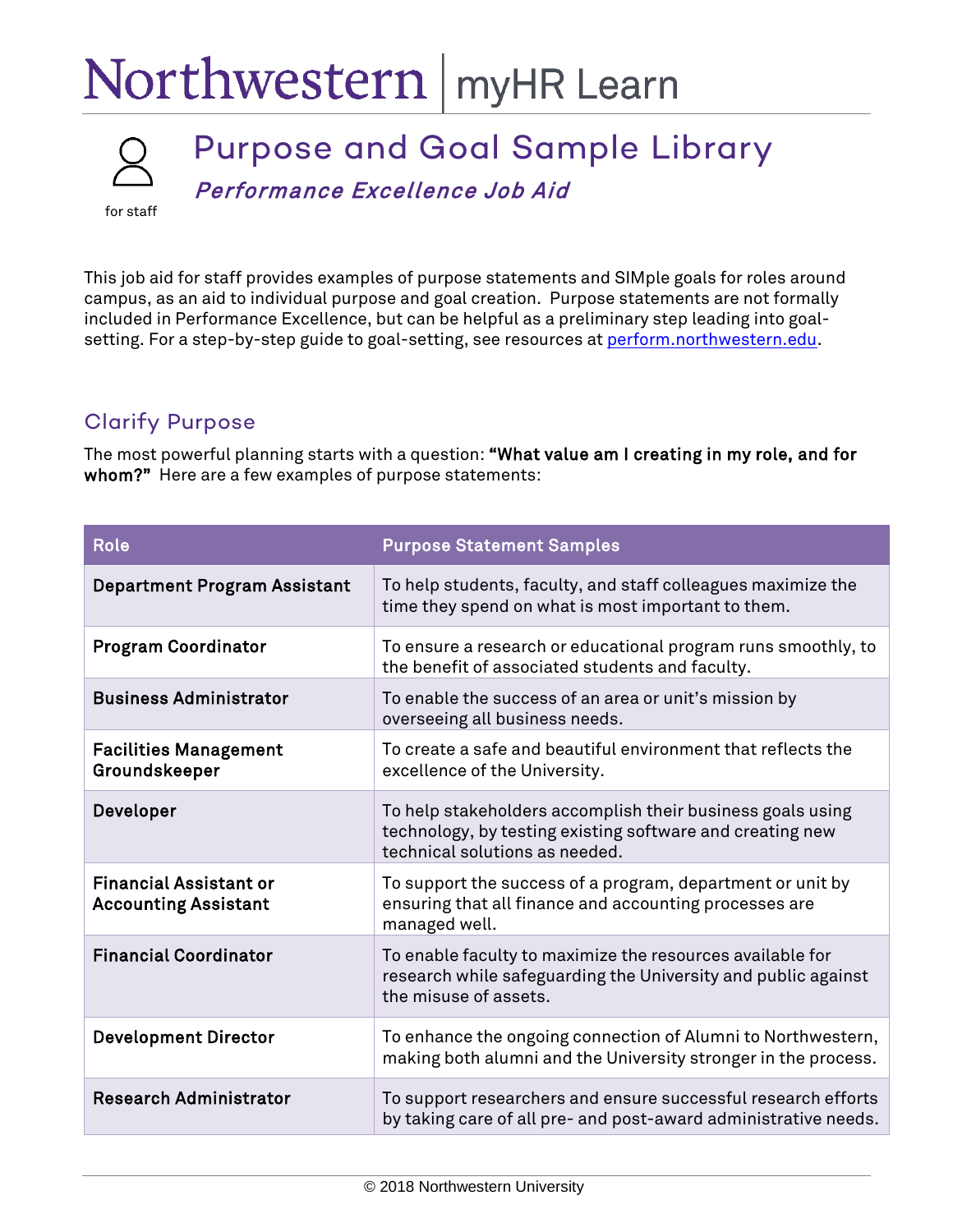## Northwestern | myHR Learn



## Purpose and Goal Sample Library Performance Excellence Job Aid

for staff

This job aid for staff provides examples of purpose statements and SIMple goals for roles around campus, as an aid to individual purpose and goal creation. Purpose statements are not formally included in Performance Excellence, but can be helpful as a preliminary step leading into goalsetting. For a step-by-step guide to goal-setting, see resources at [perform.northwestern.edu.](http://perform.northwestern.edu/)

## Clarify Purpose

The most powerful planning starts with a question: "What value am I creating in my role, and for whom?" Here are a few examples of purpose statements:

| <b>Role</b>                                                  | <b>Purpose Statement Samples</b>                                                                                                                          |
|--------------------------------------------------------------|-----------------------------------------------------------------------------------------------------------------------------------------------------------|
| <b>Department Program Assistant</b>                          | To help students, faculty, and staff colleagues maximize the<br>time they spend on what is most important to them.                                        |
| <b>Program Coordinator</b>                                   | To ensure a research or educational program runs smoothly, to<br>the benefit of associated students and faculty.                                          |
| <b>Business Administrator</b>                                | To enable the success of an area or unit's mission by<br>overseeing all business needs.                                                                   |
| <b>Facilities Management</b><br>Groundskeeper                | To create a safe and beautiful environment that reflects the<br>excellence of the University.                                                             |
| Developer                                                    | To help stakeholders accomplish their business goals using<br>technology, by testing existing software and creating new<br>technical solutions as needed. |
| <b>Financial Assistant or</b><br><b>Accounting Assistant</b> | To support the success of a program, department or unit by<br>ensuring that all finance and accounting processes are<br>managed well.                     |
| <b>Financial Coordinator</b>                                 | To enable faculty to maximize the resources available for<br>research while safeguarding the University and public against<br>the misuse of assets.       |
| <b>Development Director</b>                                  | To enhance the ongoing connection of Alumni to Northwestern,<br>making both alumni and the University stronger in the process.                            |
| <b>Research Administrator</b>                                | To support researchers and ensure successful research efforts<br>by taking care of all pre- and post-award administrative needs.                          |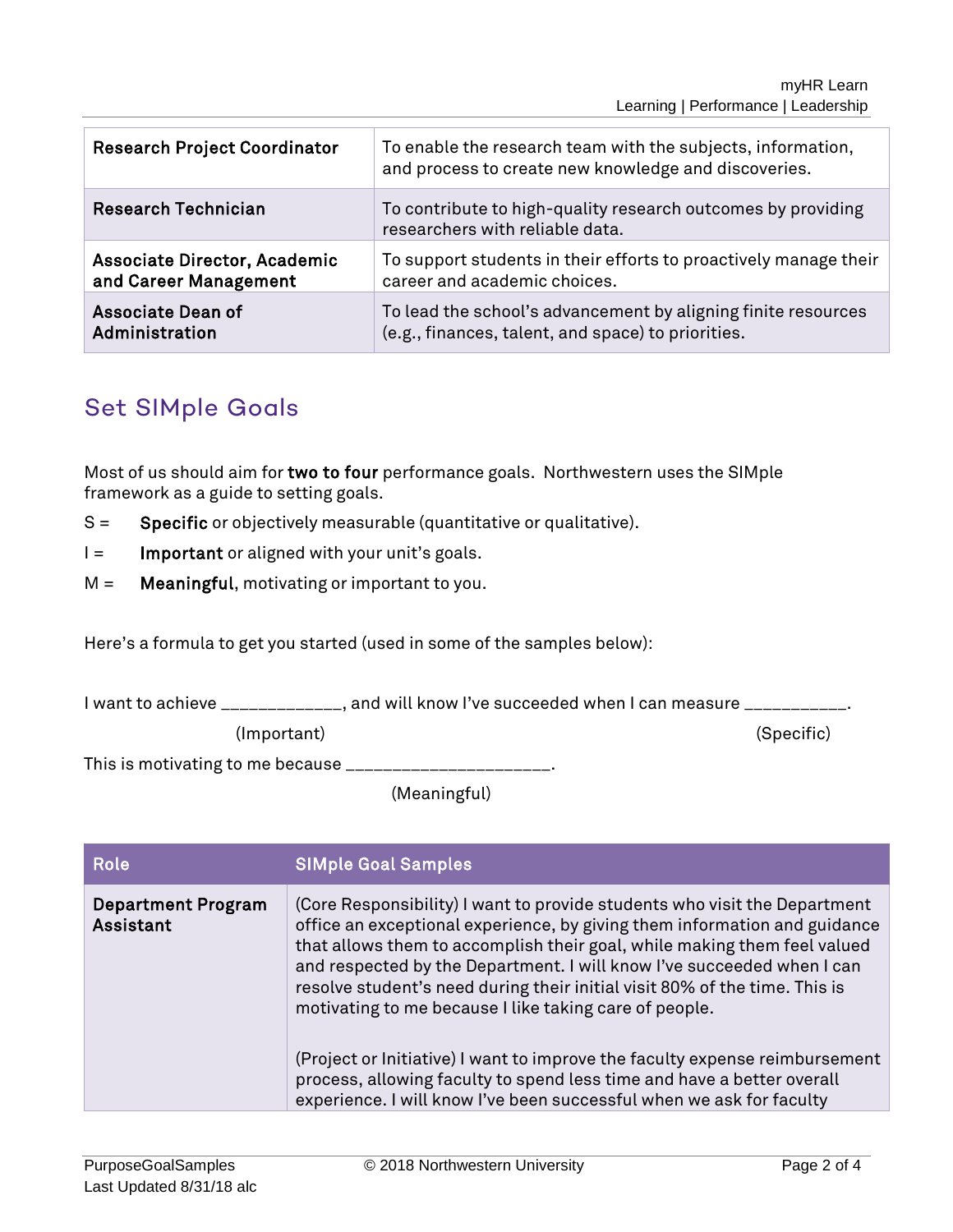| <b>Research Project Coordinator</b> | To enable the research team with the subjects, information,<br>and process to create new knowledge and discoveries. |
|-------------------------------------|---------------------------------------------------------------------------------------------------------------------|
| <b>Research Technician</b>          | To contribute to high-quality research outcomes by providing<br>researchers with reliable data.                     |
| Associate Director, Academic        | To support students in their efforts to proactively manage their                                                    |
| and Career Management               | career and academic choices.                                                                                        |
| <b>Associate Dean of</b>            | To lead the school's advancement by aligning finite resources                                                       |
| Administration                      | (e.g., finances, talent, and space) to priorities.                                                                  |

## Set SIMple Goals

Most of us should aim for two to four performance goals. Northwestern uses the SIMple framework as a guide to setting goals.

- S = Specific or objectively measurable (quantitative or qualitative).
- $I =$  Important or aligned with your unit's goals.
- $M =$  **Meaningful**, motivating or important to you.

Here's a formula to get you started (used in some of the samples below):

I want to achieve \_\_\_\_\_\_\_\_\_\_\_\_, and will know I've succeeded when I can measure \_\_\_\_\_\_\_\_\_

(Important) (Specific)

This is motivating to me because \_\_\_\_\_\_\_\_\_\_\_\_\_\_\_\_\_\_\_\_

(Meaningful)

| Role                                   | <b>SIMple Goal Samples</b>                                                                                                                                                                                                                                                                                                                                                                                                                                                                                                                                                                                                                                                            |
|----------------------------------------|---------------------------------------------------------------------------------------------------------------------------------------------------------------------------------------------------------------------------------------------------------------------------------------------------------------------------------------------------------------------------------------------------------------------------------------------------------------------------------------------------------------------------------------------------------------------------------------------------------------------------------------------------------------------------------------|
| <b>Department Program</b><br>Assistant | (Core Responsibility) I want to provide students who visit the Department<br>office an exceptional experience, by giving them information and guidance<br>that allows them to accomplish their goal, while making them feel valued<br>and respected by the Department. I will know I've succeeded when I can<br>resolve student's need during their initial visit 80% of the time. This is<br>motivating to me because I like taking care of people.<br>(Project or Initiative) I want to improve the faculty expense reimbursement<br>process, allowing faculty to spend less time and have a better overall<br>experience. I will know I've been successful when we ask for faculty |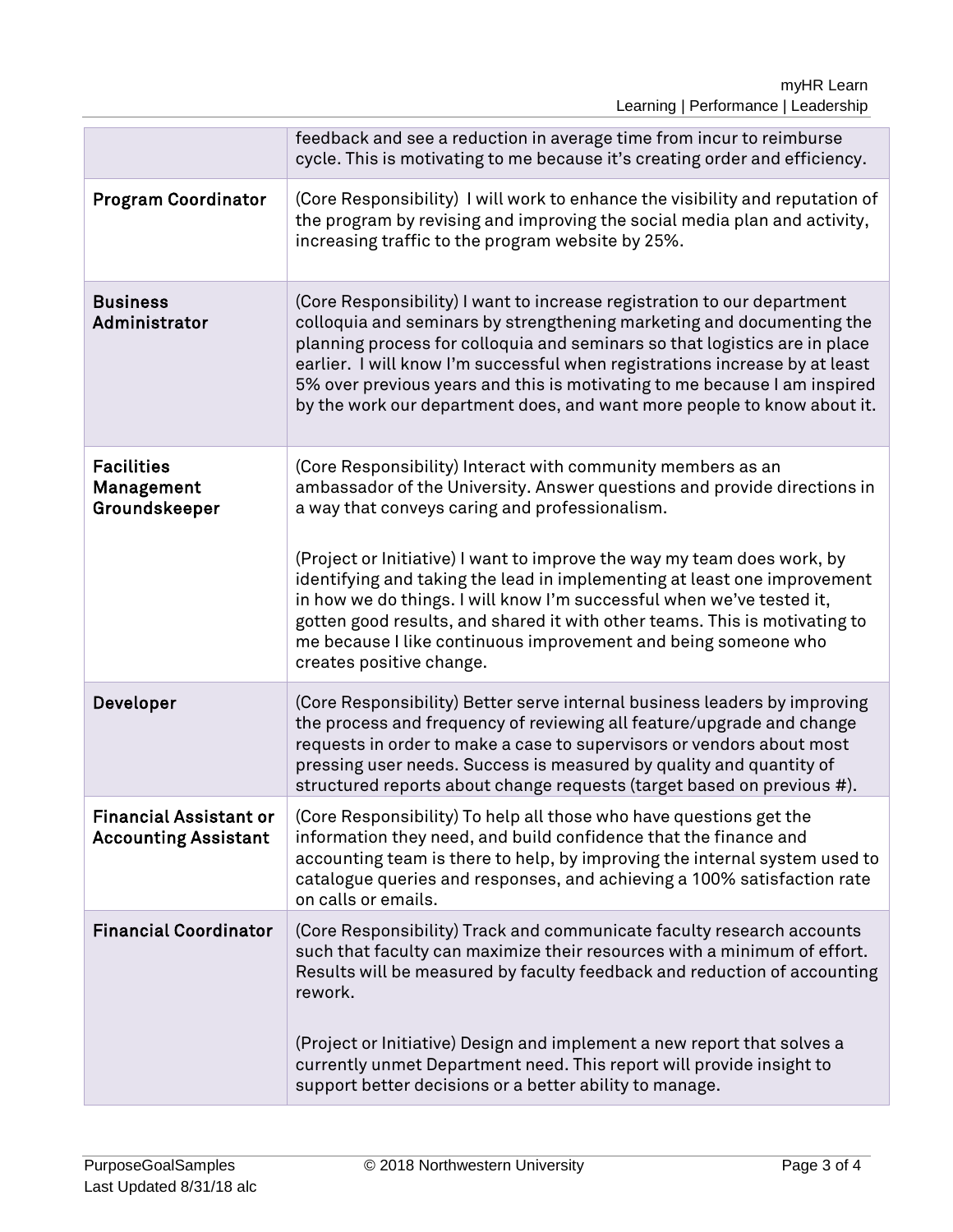|                                                              | feedback and see a reduction in average time from incur to reimburse<br>cycle. This is motivating to me because it's creating order and efficiency.                                                                                                                                                                                                                                                                                                                                                                                                                                                   |
|--------------------------------------------------------------|-------------------------------------------------------------------------------------------------------------------------------------------------------------------------------------------------------------------------------------------------------------------------------------------------------------------------------------------------------------------------------------------------------------------------------------------------------------------------------------------------------------------------------------------------------------------------------------------------------|
| <b>Program Coordinator</b>                                   | (Core Responsibility) I will work to enhance the visibility and reputation of<br>the program by revising and improving the social media plan and activity,<br>increasing traffic to the program website by 25%.                                                                                                                                                                                                                                                                                                                                                                                       |
| <b>Business</b><br>Administrator                             | (Core Responsibility) I want to increase registration to our department<br>colloquia and seminars by strengthening marketing and documenting the<br>planning process for colloquia and seminars so that logistics are in place<br>earlier. I will know I'm successful when registrations increase by at least<br>5% over previous years and this is motivating to me because I am inspired<br>by the work our department does, and want more people to know about it.                                                                                                                                 |
| <b>Facilities</b><br>Management<br>Groundskeeper             | (Core Responsibility) Interact with community members as an<br>ambassador of the University. Answer questions and provide directions in<br>a way that conveys caring and professionalism.<br>(Project or Initiative) I want to improve the way my team does work, by<br>identifying and taking the lead in implementing at least one improvement<br>in how we do things. I will know I'm successful when we've tested it,<br>gotten good results, and shared it with other teams. This is motivating to<br>me because I like continuous improvement and being someone who<br>creates positive change. |
| Developer                                                    | (Core Responsibility) Better serve internal business leaders by improving<br>the process and frequency of reviewing all feature/upgrade and change<br>requests in order to make a case to supervisors or vendors about most<br>pressing user needs. Success is measured by quality and quantity of<br>structured reports about change requests (target based on previous #).                                                                                                                                                                                                                          |
| <b>Financial Assistant or</b><br><b>Accounting Assistant</b> | (Core Responsibility) To help all those who have questions get the<br>information they need, and build confidence that the finance and<br>accounting team is there to help, by improving the internal system used to<br>catalogue queries and responses, and achieving a 100% satisfaction rate<br>on calls or emails.                                                                                                                                                                                                                                                                                |
| <b>Financial Coordinator</b>                                 | (Core Responsibility) Track and communicate faculty research accounts<br>such that faculty can maximize their resources with a minimum of effort.<br>Results will be measured by faculty feedback and reduction of accounting<br>rework.<br>(Project or Initiative) Design and implement a new report that solves a<br>currently unmet Department need. This report will provide insight to<br>support better decisions or a better ability to manage.                                                                                                                                                |